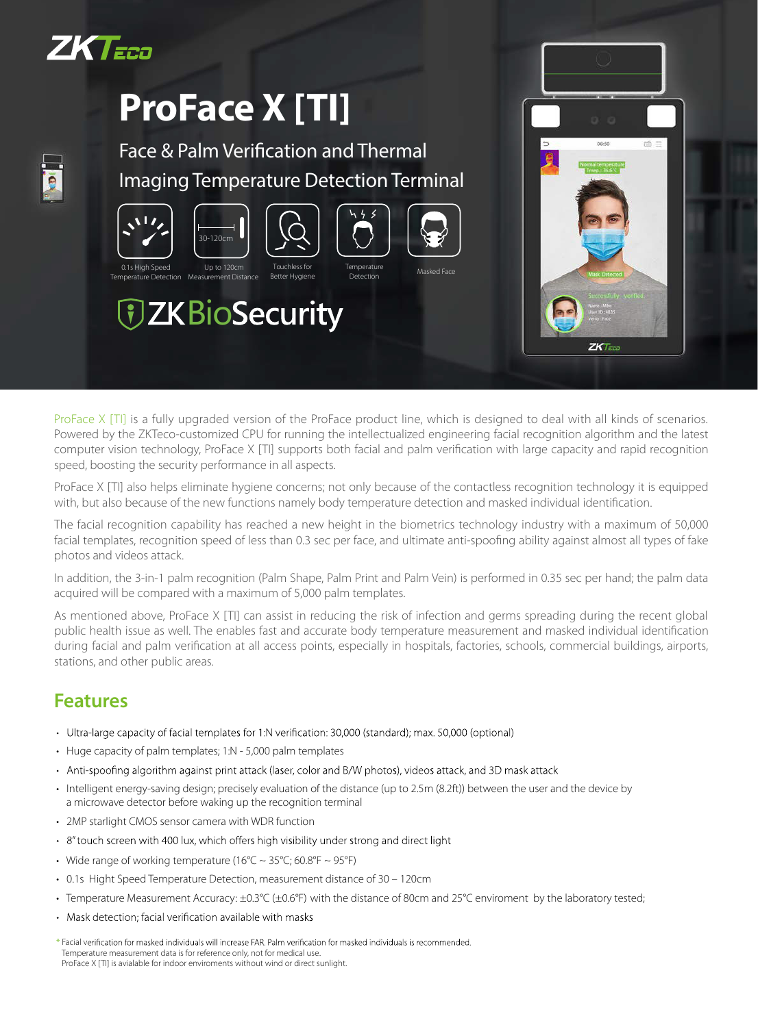

Temperature Detection

 $M_{\odot}$ 

## **ProFace X [TI]**



## Face & Palm Verification and Thermal Imaging Temperature Detection Terminal

Better Hygiene





*TZKBioSecurity* 

ProFace X [TI] is a fully upgraded version of the ProFace product line, which is designed to deal with all kinds of scenarios. Powered by the ZKTeco-customized CPU for running the intellectualized engineering facial recognition algorithm and the latest computer vision technology, ProFace X [TI] supports both facial and palm verification with large capacity and rapid recognition speed, boosting the security performance in all aspects.

ProFace X [TI] also helps eliminate hygiene concerns; not only because of the contactless recognition technology it is equipped with, but also because of the new functions namely body temperature detection and masked individual identification.

The facial recognition capability has reached a new height in the biometrics technology industry with a maximum of 50,000 facial templates, recognition speed of less than 0.3 sec per face, and ultimate anti-spoofing ability against almost all types of fake photos and videos attack.

In addition, the 3-in-1 palm recognition (Palm Shape, Palm Print and Palm Vein) is performed in 0.35 sec per hand; the palm data acquired will be compared with a maximum of 5,000 palm templates.

As mentioned above, ProFace X [TI] can assist in reducing the risk of infection and germs spreading during the recent global public health issue as well. The enables fast and accurate body temperature measurement and masked individual identification during facial and palm verification at all access points, especially in hospitals, factories, schools, commercial buildings, airports, stations, and other public areas.

## **Features**

- · Ultra-large capacity of facial templates for 1:N verification: 30,000 (standard); max. 50,000 (optional)
- Huge capacity of palm templates; 1:N 5,000 palm templates
- Anti-spoofing algorithm against print attack (laser, color and B/W photos), videos attack, and 3D mask attack
- Intelligent energy-saving design; precisely evaluation of the distance (up to 2.5m (8.2ft)) between the user and the device by a microwave detector before waking up the recognition terminal
- 2MP starlight CMOS sensor camera with WDR function
- · 8" touch screen with 400 lux, which offers high visibility under strong and direct light
- Wide range of working temperature (16°C  $\sim$  35°C; 60.8°F  $\sim$  95°F)
- 0.1s Hight Speed Temperature Detection, measurement distance of 30 120cm
- Temperature Measurement Accuracy: ±0.3°C (±0.6°F) with the distance of 80cm and 25°C enviroment by the laboratory tested;
- Mask detection; facial verification available with masks
- \* Facial verification for masked individuals will increase FAR. Palm verification for masked individuals is recommended. Temperature measurement data is for reference only, not for medical use. ProFace X [TI] is avialable for indoor enviroments without wind or direct sunlight.